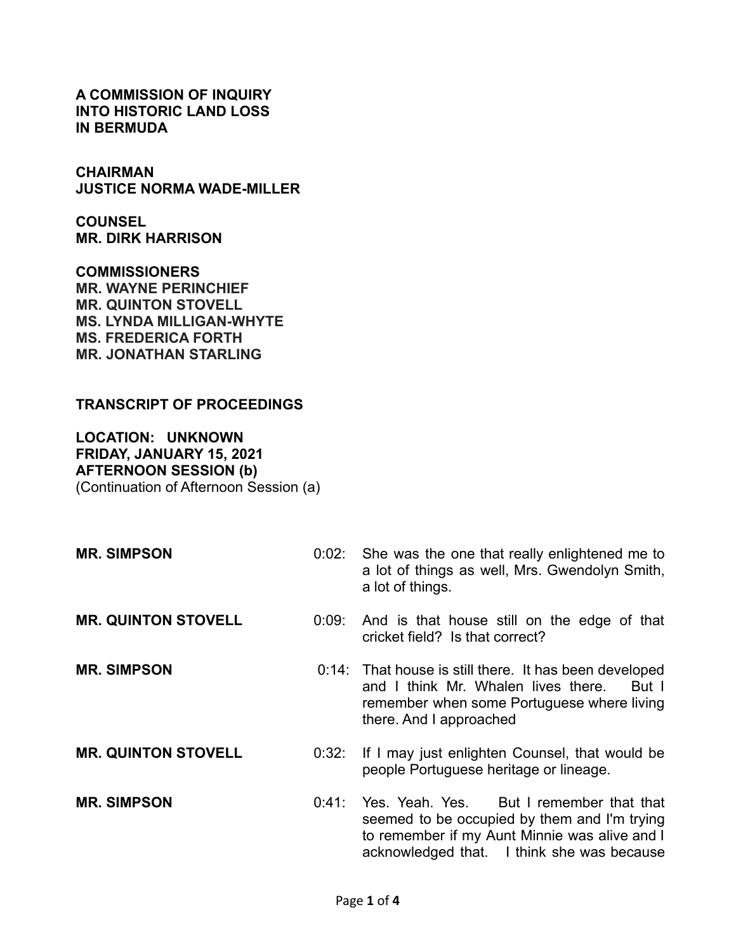**A COMMISSION OF INQUIRY INTO HISTORIC LAND LOSS IN BERMUDA**

**CHAIRMAN JUSTICE NORMA WADE-MILLER**

**COUNSEL MR. DIRK HARRISON**

**COMMISSIONERS MR. WAYNE PERINCHIEF MR. QUINTON STOVELL MS. LYNDA MILLIGAN-WHYTE MS. FREDERICA FORTH MR. JONATHAN STARLING**

## **TRANSCRIPT OF PROCEEDINGS**

**LOCATION: UNKNOWN FRIDAY, JANUARY 15, 2021 AFTERNOON SESSION (b)** (Continuation of Afternoon Session (a)

**MR. SIMPSON** 0:02: She was the one that really enlightened me to a lot of things as well, Mrs. Gwendolyn Smith, a lot of things. **MR. QUINTON STOVELL** 0:09: And is that house still on the edge of that cricket field? Is that correct? **MR. SIMPSON** 0:14: That house is still there. It has been developed and I think Mr. Whalen lives there. But I remember when some Portuguese where living there. And I approached **MR. QUINTON STOVELL** 0:32: If I may just enlighten Counsel, that would be people Portuguese heritage or lineage. **MR. SIMPSON** 0:41: Yes. Yeah. Yes. But I remember that that seemed to be occupied by them and I'm trying to remember if my Aunt Minnie was alive and I acknowledged that. I think she was because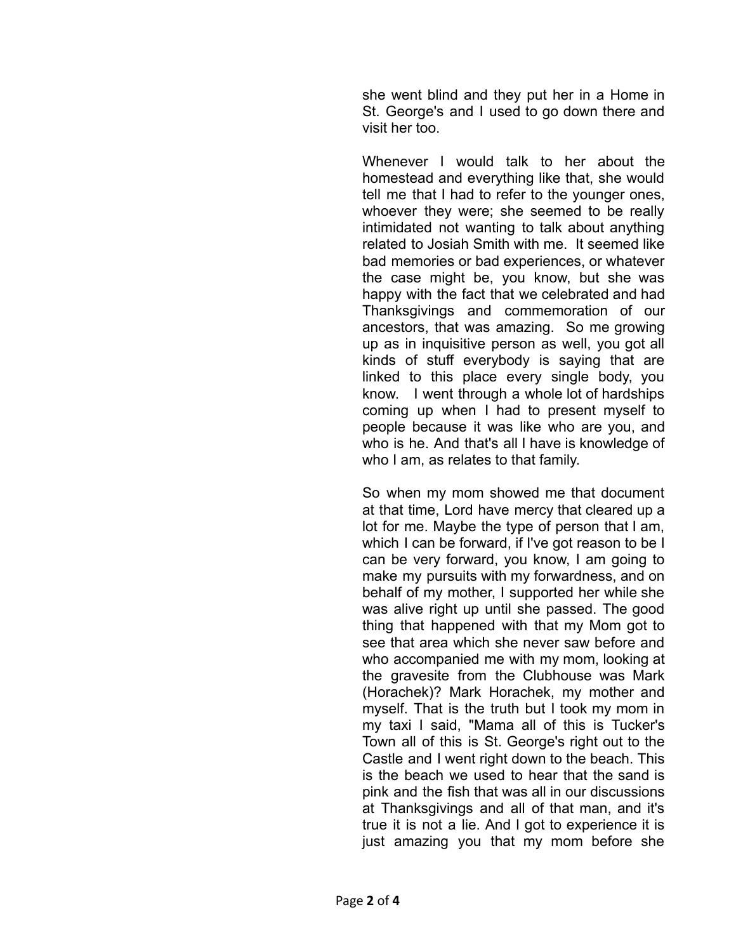she went blind and they put her in a Home in St. George's and I used to go down there and visit her too.

Whenever I would talk to her about the homestead and everything like that, she would tell me that I had to refer to the younger ones, whoever they were; she seemed to be really intimidated not wanting to talk about anything related to Josiah Smith with me. It seemed like bad memories or bad experiences, or whatever the case might be, you know, but she was happy with the fact that we celebrated and had Thanksgivings and commemoration of our ancestors, that was amazing. So me growing up as in inquisitive person as well, you got all kinds of stuff everybody is saying that are linked to this place every single body, you know. I went through a whole lot of hardships coming up when I had to present myself to people because it was like who are you, and who is he. And that's all I have is knowledge of who I am, as relates to that family.

So when my mom showed me that document at that time, Lord have mercy that cleared up a lot for me. Maybe the type of person that I am, which I can be forward, if I've got reason to be I can be very forward, you know, I am going to make my pursuits with my forwardness, and on behalf of my mother, I supported her while she was alive right up until she passed. The good thing that happened with that my Mom got to see that area which she never saw before and who accompanied me with my mom, looking at the gravesite from the Clubhouse was Mark (Horachek)? Mark Horachek, my mother and myself. That is the truth but I took my mom in my taxi I said, "Mama all of this is Tucker's Town all of this is St. George's right out to the Castle and I went right down to the beach. This is the beach we used to hear that the sand is pink and the fish that was all in our discussions at Thanksgivings and all of that man, and it's true it is not a lie. And I got to experience it is just amazing you that my mom before she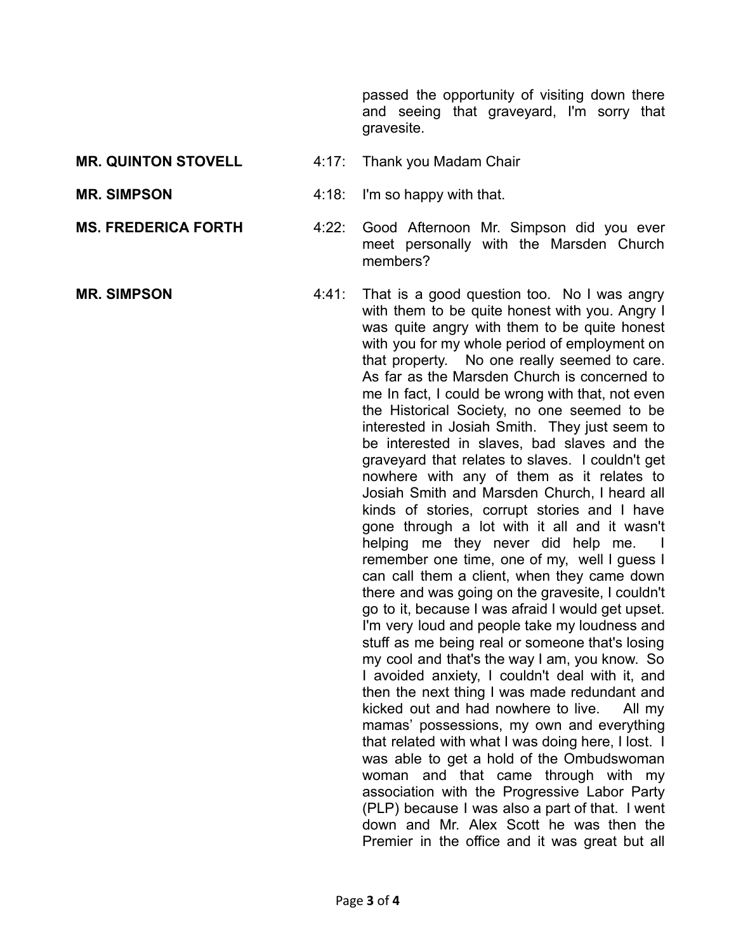passed the opportunity of visiting down there and seeing that graveyard, I'm sorry that gravesite.

- **MR. QUINTON STOVELL** 4:17: Thank you Madam Chair
- **MR. SIMPSON** 4:18: I'm so happy with that.
- 
- 
- **MS. FREDERICA FORTH** 4:22: Good Afternoon Mr. Simpson did you ever meet personally with the Marsden Church members?
- **MR. SIMPSON** 4:41: That is a good question too. No I was angry with them to be quite honest with you. Angry I was quite angry with them to be quite honest with you for my whole period of employment on that property. No one really seemed to care. As far as the Marsden Church is concerned to me In fact, I could be wrong with that, not even the Historical Society, no one seemed to be interested in Josiah Smith. They just seem to be interested in slaves, bad slaves and the graveyard that relates to slaves. I couldn't get nowhere with any of them as it relates to Josiah Smith and Marsden Church, I heard all kinds of stories, corrupt stories and I have gone through a lot with it all and it wasn't helping me they never did help me. I remember one time, one of my, well I guess I can call them a client, when they came down there and was going on the gravesite, I couldn't go to it, because I was afraid I would get upset. I'm very loud and people take my loudness and stuff as me being real or someone that's losing my cool and that's the way I am, you know. So I avoided anxiety, I couldn't deal with it, and then the next thing I was made redundant and kicked out and had nowhere to live. All my mamas' possessions, my own and everything that related with what I was doing here, I lost. I was able to get a hold of the Ombudswoman woman and that came through with my association with the Progressive Labor Party (PLP) because I was also a part of that. I went down and Mr. Alex Scott he was then the Premier in the office and it was great but all